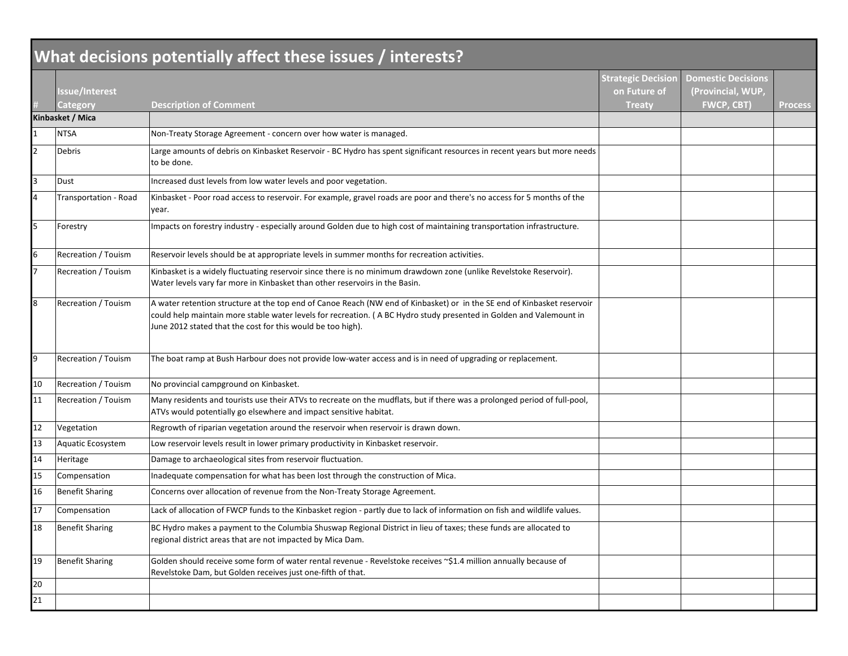|                | What decisions potentially affect these issues / interests? |                                                                                                                                                                                                                                                                                                               |                                                            |                                                                     |                |  |  |
|----------------|-------------------------------------------------------------|---------------------------------------------------------------------------------------------------------------------------------------------------------------------------------------------------------------------------------------------------------------------------------------------------------------|------------------------------------------------------------|---------------------------------------------------------------------|----------------|--|--|
|                | lssue/Interest<br>Category                                  | <b>Description of Comment</b>                                                                                                                                                                                                                                                                                 | <b>Strategic Decision</b><br>on Future of<br><b>Treaty</b> | <b>Domestic Decisions</b><br>(Provincial, WUP,<br><b>FWCP, CBT)</b> | <b>Process</b> |  |  |
|                | Kinbasket / Mica                                            |                                                                                                                                                                                                                                                                                                               |                                                            |                                                                     |                |  |  |
|                | <b>NTSA</b>                                                 | Non-Treaty Storage Agreement - concern over how water is managed.                                                                                                                                                                                                                                             |                                                            |                                                                     |                |  |  |
| $\overline{2}$ | Debris                                                      | Large amounts of debris on Kinbasket Reservoir - BC Hydro has spent significant resources in recent years but more needs<br>to be done.                                                                                                                                                                       |                                                            |                                                                     |                |  |  |
| 3              | Dust                                                        | Increased dust levels from low water levels and poor vegetation.                                                                                                                                                                                                                                              |                                                            |                                                                     |                |  |  |
|                | Transportation - Road                                       | Kinbasket - Poor road access to reservoir. For example, gravel roads are poor and there's no access for 5 months of the<br>year.                                                                                                                                                                              |                                                            |                                                                     |                |  |  |
| 5              | Forestry                                                    | Impacts on forestry industry - especially around Golden due to high cost of maintaining transportation infrastructure.                                                                                                                                                                                        |                                                            |                                                                     |                |  |  |
| 6              | Recreation / Touism                                         | Reservoir levels should be at appropriate levels in summer months for recreation activities.                                                                                                                                                                                                                  |                                                            |                                                                     |                |  |  |
|                | <b>Recreation / Touism</b>                                  | Kinbasket is a widely fluctuating reservoir since there is no minimum drawdown zone (unlike Revelstoke Reservoir).<br>Water levels vary far more in Kinbasket than other reservoirs in the Basin.                                                                                                             |                                                            |                                                                     |                |  |  |
| 8              | Recreation / Touism                                         | A water retention structure at the top end of Canoe Reach (NW end of Kinbasket) or in the SE end of Kinbasket reservoir<br>could help maintain more stable water levels for recreation. (A BC Hydro study presented in Golden and Valemount in<br>June 2012 stated that the cost for this would be too high). |                                                            |                                                                     |                |  |  |
| 9              | Recreation / Touism                                         | The boat ramp at Bush Harbour does not provide low-water access and is in need of upgrading or replacement.                                                                                                                                                                                                   |                                                            |                                                                     |                |  |  |
| 10             | Recreation / Touism                                         | No provincial campground on Kinbasket.                                                                                                                                                                                                                                                                        |                                                            |                                                                     |                |  |  |
| 11             | <b>Recreation / Touism</b>                                  | Many residents and tourists use their ATVs to recreate on the mudflats, but if there was a prolonged period of full-pool,<br>ATVs would potentially go elsewhere and impact sensitive habitat.                                                                                                                |                                                            |                                                                     |                |  |  |
| 12             | Vegetation                                                  | Regrowth of riparian vegetation around the reservoir when reservoir is drawn down.                                                                                                                                                                                                                            |                                                            |                                                                     |                |  |  |
| 13             | Aquatic Ecosystem                                           | Low reservoir levels result in lower primary productivity in Kinbasket reservoir.                                                                                                                                                                                                                             |                                                            |                                                                     |                |  |  |
| 14             | Heritage                                                    | Damage to archaeological sites from reservoir fluctuation.                                                                                                                                                                                                                                                    |                                                            |                                                                     |                |  |  |
| 15             | Compensation                                                | Inadequate compensation for what has been lost through the construction of Mica.                                                                                                                                                                                                                              |                                                            |                                                                     |                |  |  |
| 16             | <b>Benefit Sharing</b>                                      | Concerns over allocation of revenue from the Non-Treaty Storage Agreement.                                                                                                                                                                                                                                    |                                                            |                                                                     |                |  |  |
| 17             | Compensation                                                | Lack of allocation of FWCP funds to the Kinbasket region - partly due to lack of information on fish and wildlife values.                                                                                                                                                                                     |                                                            |                                                                     |                |  |  |
| 18             | <b>Benefit Sharing</b>                                      | BC Hydro makes a payment to the Columbia Shuswap Regional District in lieu of taxes; these funds are allocated to<br>regional district areas that are not impacted by Mica Dam.                                                                                                                               |                                                            |                                                                     |                |  |  |
| 19             | <b>Benefit Sharing</b>                                      | Golden should receive some form of water rental revenue - Revelstoke receives ~\$1.4 million annually because of<br>Revelstoke Dam, but Golden receives just one-fifth of that.                                                                                                                               |                                                            |                                                                     |                |  |  |
| 20             |                                                             |                                                                                                                                                                                                                                                                                                               |                                                            |                                                                     |                |  |  |
| 21             |                                                             |                                                                                                                                                                                                                                                                                                               |                                                            |                                                                     |                |  |  |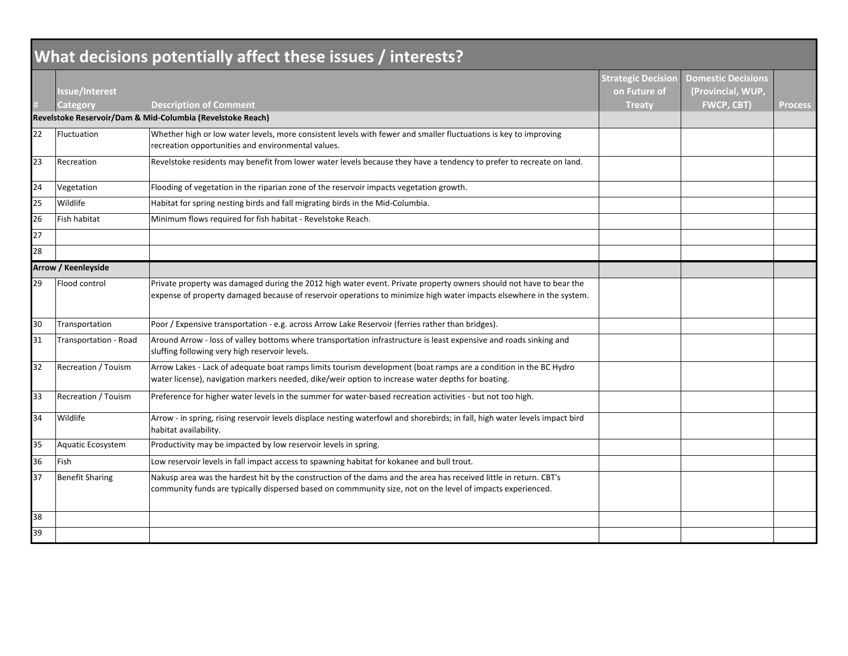| What decisions potentially affect these issues / interests? |                                   |                                                                                                                                                                                                                                           |                                                            |                                                                     |                |
|-------------------------------------------------------------|-----------------------------------|-------------------------------------------------------------------------------------------------------------------------------------------------------------------------------------------------------------------------------------------|------------------------------------------------------------|---------------------------------------------------------------------|----------------|
|                                                             | lssue/Interest<br><b>Category</b> | <b>Description of Comment</b>                                                                                                                                                                                                             | <b>Strategic Decision</b><br>on Future of<br><b>Treaty</b> | <b>Domestic Decisions</b><br>(Provincial, WUP,<br><b>FWCP, CBT)</b> | <b>Process</b> |
|                                                             |                                   | Revelstoke Reservoir/Dam & Mid-Columbia (Revelstoke Reach)                                                                                                                                                                                |                                                            |                                                                     |                |
| 22                                                          | Fluctuation                       | Whether high or low water levels, more consistent levels with fewer and smaller fluctuations is key to improving<br>recreation opportunities and environmental values.                                                                    |                                                            |                                                                     |                |
| 23                                                          | Recreation                        | Revelstoke residents may benefit from lower water levels because they have a tendency to prefer to recreate on land.                                                                                                                      |                                                            |                                                                     |                |
| 24                                                          | Vegetation                        | Flooding of vegetation in the riparian zone of the reservoir impacts vegetation growth.                                                                                                                                                   |                                                            |                                                                     |                |
| 25                                                          | Wildlife                          | Habitat for spring nesting birds and fall migrating birds in the Mid-Columbia.                                                                                                                                                            |                                                            |                                                                     |                |
| 26                                                          | Fish habitat                      | Minimum flows required for fish habitat - Revelstoke Reach.                                                                                                                                                                               |                                                            |                                                                     |                |
| 27                                                          |                                   |                                                                                                                                                                                                                                           |                                                            |                                                                     |                |
| 28                                                          |                                   |                                                                                                                                                                                                                                           |                                                            |                                                                     |                |
| <b>Arrow / Keenleyside</b>                                  |                                   |                                                                                                                                                                                                                                           |                                                            |                                                                     |                |
| 29                                                          | Flood control                     | Private property was damaged during the 2012 high water event. Private property owners should not have to bear the<br>expense of property damaged because of reservoir operations to minimize high water impacts elsewhere in the system. |                                                            |                                                                     |                |
| 30                                                          | Transportation                    | Poor / Expensive transportation - e.g. across Arrow Lake Reservoir (ferries rather than bridges).                                                                                                                                         |                                                            |                                                                     |                |
| 31                                                          | Transportation - Road             | Around Arrow - loss of valley bottoms where transportation infrastructure is least expensive and roads sinking and<br>sluffing following very high reservoir levels.                                                                      |                                                            |                                                                     |                |
| 32                                                          | Recreation / Touism               | Arrow Lakes - Lack of adequate boat ramps limits tourism development (boat ramps are a condition in the BC Hydro<br>water license), navigation markers needed, dike/weir option to increase water depths for boating.                     |                                                            |                                                                     |                |
| 33                                                          | Recreation / Touism               | Preference for higher water levels in the summer for water-based recreation activities - but not too high.                                                                                                                                |                                                            |                                                                     |                |
| 34                                                          | Wildlife                          | Arrow - in spring, rising reservoir levels displace nesting waterfowl and shorebirds; in fall, high water levels impact bird<br>habitat availability.                                                                                     |                                                            |                                                                     |                |
| 35                                                          | Aquatic Ecosystem                 | Productivity may be impacted by low reservoir levels in spring.                                                                                                                                                                           |                                                            |                                                                     |                |
| 36                                                          | Fish                              | Low reservoir levels in fall impact access to spawning habitat for kokanee and bull trout.                                                                                                                                                |                                                            |                                                                     |                |
| 37                                                          | <b>Benefit Sharing</b>            | Nakusp area was the hardest hit by the construction of the dams and the area has received little in return. CBT's<br>community funds are typically dispersed based on commmunity size, not on the level of impacts experienced.           |                                                            |                                                                     |                |
| 38                                                          |                                   |                                                                                                                                                                                                                                           |                                                            |                                                                     |                |
| 39                                                          |                                   |                                                                                                                                                                                                                                           |                                                            |                                                                     |                |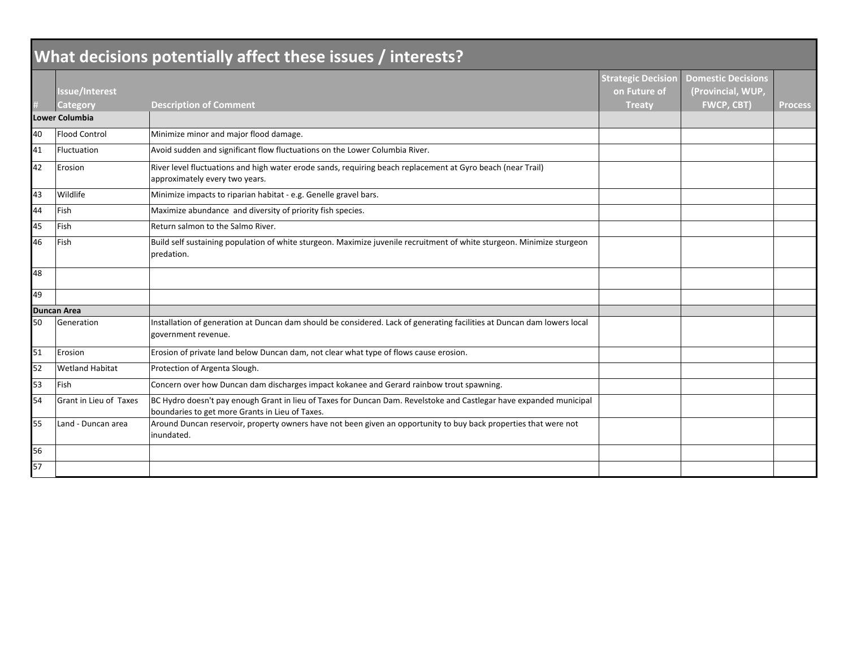| What decisions potentially affect these issues / interests? |                        |                                                                                                                                                                        |                                           |                                                |                |  |
|-------------------------------------------------------------|------------------------|------------------------------------------------------------------------------------------------------------------------------------------------------------------------|-------------------------------------------|------------------------------------------------|----------------|--|
|                                                             | <b>Issue/Interest</b>  |                                                                                                                                                                        | <b>Strategic Decision</b><br>on Future of | <b>Domestic Decisions</b><br>(Provincial, WUP, |                |  |
|                                                             | Category               | <b>Description of Comment</b>                                                                                                                                          | <b>Treaty</b>                             | <b>FWCP, CBT)</b>                              | <b>Process</b> |  |
|                                                             | <b>Lower Columbia</b>  |                                                                                                                                                                        |                                           |                                                |                |  |
| 40                                                          | <b>Flood Control</b>   | Minimize minor and major flood damage.                                                                                                                                 |                                           |                                                |                |  |
| 41                                                          | Fluctuation            | Avoid sudden and significant flow fluctuations on the Lower Columbia River.                                                                                            |                                           |                                                |                |  |
| 42                                                          | Erosion                | River level fluctuations and high water erode sands, requiring beach replacement at Gyro beach (near Trail)<br>approximately every two years.                          |                                           |                                                |                |  |
| 43                                                          | Wildlife               | Minimize impacts to riparian habitat - e.g. Genelle gravel bars.                                                                                                       |                                           |                                                |                |  |
| 44                                                          | Fish                   | Maximize abundance and diversity of priority fish species.                                                                                                             |                                           |                                                |                |  |
| 45                                                          | Fish                   | Return salmon to the Salmo River.                                                                                                                                      |                                           |                                                |                |  |
| 46                                                          | Fish                   | Build self sustaining population of white sturgeon. Maximize juvenile recruitment of white sturgeon. Minimize sturgeon<br>predation.                                   |                                           |                                                |                |  |
| 48                                                          |                        |                                                                                                                                                                        |                                           |                                                |                |  |
| 49                                                          |                        |                                                                                                                                                                        |                                           |                                                |                |  |
| <b>Duncan Area</b>                                          |                        |                                                                                                                                                                        |                                           |                                                |                |  |
| 50                                                          | Generation             | Installation of generation at Duncan dam should be considered. Lack of generating facilities at Duncan dam lowers local<br>government revenue.                         |                                           |                                                |                |  |
| 51                                                          | Erosion                | Erosion of private land below Duncan dam, not clear what type of flows cause erosion.                                                                                  |                                           |                                                |                |  |
| 52                                                          | <b>Wetland Habitat</b> | Protection of Argenta Slough.                                                                                                                                          |                                           |                                                |                |  |
| 53                                                          | Fish                   | Concern over how Duncan dam discharges impact kokanee and Gerard rainbow trout spawning.                                                                               |                                           |                                                |                |  |
| 54                                                          | Grant in Lieu of Taxes | BC Hydro doesn't pay enough Grant in lieu of Taxes for Duncan Dam. Revelstoke and Castlegar have expanded municipal<br>boundaries to get more Grants in Lieu of Taxes. |                                           |                                                |                |  |
| 55                                                          | Land - Duncan area     | Around Duncan reservoir, property owners have not been given an opportunity to buy back properties that were not<br>inundated.                                         |                                           |                                                |                |  |
| 56                                                          |                        |                                                                                                                                                                        |                                           |                                                |                |  |
| 57                                                          |                        |                                                                                                                                                                        |                                           |                                                |                |  |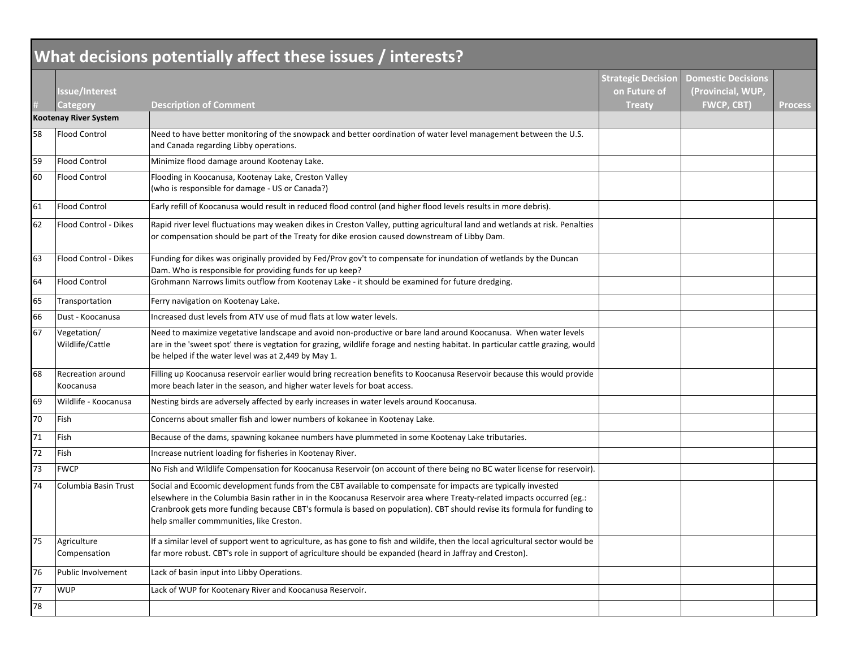| What decisions potentially affect these issues / interests? |                                       |                                                                                                                                                                                                                                                                                                                                                                                                              |                                                     |                                                                     |                |  |
|-------------------------------------------------------------|---------------------------------------|--------------------------------------------------------------------------------------------------------------------------------------------------------------------------------------------------------------------------------------------------------------------------------------------------------------------------------------------------------------------------------------------------------------|-----------------------------------------------------|---------------------------------------------------------------------|----------------|--|
|                                                             | <b>Issue/Interest</b><br>Category     | <b>Description of Comment</b>                                                                                                                                                                                                                                                                                                                                                                                | <b>Strategic Decision</b><br>on Future of<br>Treaty | <b>Domestic Decisions</b><br>(Provincial, WUP,<br><b>FWCP, CBT)</b> | <b>Process</b> |  |
|                                                             | Kootenay River System                 |                                                                                                                                                                                                                                                                                                                                                                                                              |                                                     |                                                                     |                |  |
| 58                                                          | <b>Flood Control</b>                  | Need to have better monitoring of the snowpack and better oordination of water level management between the U.S.<br>and Canada regarding Libby operations.                                                                                                                                                                                                                                                   |                                                     |                                                                     |                |  |
| 59                                                          | <b>Flood Control</b>                  | Minimize flood damage around Kootenay Lake.                                                                                                                                                                                                                                                                                                                                                                  |                                                     |                                                                     |                |  |
| 60                                                          | <b>Flood Control</b>                  | Flooding in Koocanusa, Kootenay Lake, Creston Valley<br>(who is responsible for damage - US or Canada?)                                                                                                                                                                                                                                                                                                      |                                                     |                                                                     |                |  |
| 61                                                          | <b>Flood Control</b>                  | Early refill of Koocanusa would result in reduced flood control (and higher flood levels results in more debris).                                                                                                                                                                                                                                                                                            |                                                     |                                                                     |                |  |
| 62                                                          | Flood Control - Dikes                 | Rapid river level fluctuations may weaken dikes in Creston Valley, putting agricultural land and wetlands at risk. Penalties<br>or compensation should be part of the Treaty for dike erosion caused downstream of Libby Dam.                                                                                                                                                                                |                                                     |                                                                     |                |  |
| 63                                                          | Flood Control - Dikes                 | Funding for dikes was originally provided by Fed/Prov gov't to compensate for inundation of wetlands by the Duncan<br>Dam. Who is responsible for providing funds for up keep?                                                                                                                                                                                                                               |                                                     |                                                                     |                |  |
| 64                                                          | <b>Flood Control</b>                  | Grohmann Narrows limits outflow from Kootenay Lake - it should be examined for future dredging.                                                                                                                                                                                                                                                                                                              |                                                     |                                                                     |                |  |
| 65                                                          | Transportation                        | Ferry navigation on Kootenay Lake.                                                                                                                                                                                                                                                                                                                                                                           |                                                     |                                                                     |                |  |
| 66                                                          | Dust - Koocanusa                      | Increased dust levels from ATV use of mud flats at low water levels.                                                                                                                                                                                                                                                                                                                                         |                                                     |                                                                     |                |  |
| 67                                                          | Vegetation/<br>Wildlife/Cattle        | Need to maximize vegetative landscape and avoid non-productive or bare land around Koocanusa. When water levels<br>are in the 'sweet spot' there is vegtation for grazing, wildlife forage and nesting habitat. In particular cattle grazing, would<br>be helped if the water level was at 2,449 by May 1.                                                                                                   |                                                     |                                                                     |                |  |
| 68                                                          | <b>Recreation around</b><br>Koocanusa | Filling up Koocanusa reservoir earlier would bring recreation benefits to Koocanusa Reservoir because this would provide<br>more beach later in the season, and higher water levels for boat access.                                                                                                                                                                                                         |                                                     |                                                                     |                |  |
| 69                                                          | Wildlife - Koocanusa                  | Nesting birds are adversely affected by early increases in water levels around Koocanusa.                                                                                                                                                                                                                                                                                                                    |                                                     |                                                                     |                |  |
| 70                                                          | Fish                                  | Concerns about smaller fish and lower numbers of kokanee in Kootenay Lake.                                                                                                                                                                                                                                                                                                                                   |                                                     |                                                                     |                |  |
| 71                                                          | Fish                                  | Because of the dams, spawning kokanee numbers have plummeted in some Kootenay Lake tributaries.                                                                                                                                                                                                                                                                                                              |                                                     |                                                                     |                |  |
| 72                                                          | Fish                                  | Increase nutrient loading for fisheries in Kootenay River.                                                                                                                                                                                                                                                                                                                                                   |                                                     |                                                                     |                |  |
| 73                                                          | <b>FWCP</b>                           | No Fish and Wildlife Compensation for Koocanusa Reservoir (on account of there being no BC water license for reservoir).                                                                                                                                                                                                                                                                                     |                                                     |                                                                     |                |  |
| 74                                                          | Columbia Basin Trust                  | Social and Ecoomic development funds from the CBT available to compensate for impacts are typically invested<br>elsewhere in the Columbia Basin rather in in the Koocanusa Reservoir area where Treaty-related impacts occurred (eg.:<br>Cranbrook gets more funding because CBT's formula is based on population). CBT should revise its formula for funding to<br>help smaller commmunities, like Creston. |                                                     |                                                                     |                |  |
| 75                                                          | Agriculture<br>Compensation           | If a similar level of support went to agriculture, as has gone to fish and wildife, then the local agricultural sector would be<br>far more robust. CBT's role in support of agriculture should be expanded (heard in Jaffray and Creston).                                                                                                                                                                  |                                                     |                                                                     |                |  |
| 76                                                          | Public Involvement                    | Lack of basin input into Libby Operations.                                                                                                                                                                                                                                                                                                                                                                   |                                                     |                                                                     |                |  |
| 77                                                          | <b>WUP</b>                            | Lack of WUP for Kootenary River and Koocanusa Reservoir.                                                                                                                                                                                                                                                                                                                                                     |                                                     |                                                                     |                |  |
| 78                                                          |                                       |                                                                                                                                                                                                                                                                                                                                                                                                              |                                                     |                                                                     |                |  |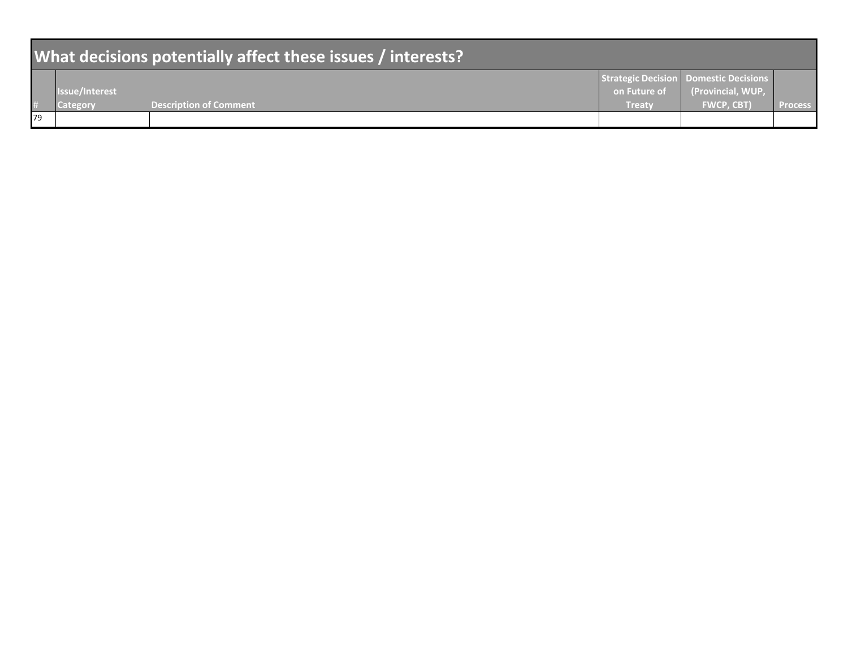| What decisions potentially affect these issues / interests? |                |                               |               |                                                            |                |  |  |
|-------------------------------------------------------------|----------------|-------------------------------|---------------|------------------------------------------------------------|----------------|--|--|
|                                                             | Issue/Interest |                               | on Future of  | Strategic Decision Domestic Decisions<br>(Provincial, WUP, |                |  |  |
|                                                             | Category       | <b>Description of Comment</b> | <b>Treaty</b> | <b>FWCP. CBT)</b>                                          | <b>Process</b> |  |  |
| 179                                                         |                |                               |               |                                                            |                |  |  |